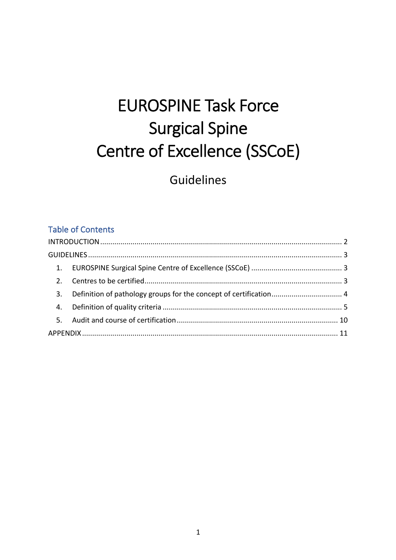# **EUROSPINE Task Force Surgical Spine** Centre of Excellence (SSCoE)

Guidelines

### **Table of Contents**

| 3. |  |
|----|--|
|    |  |
|    |  |
|    |  |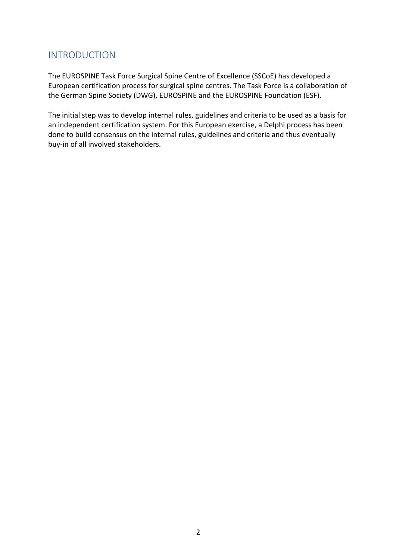# INTRODUCTION

The EUROSPINE Task Force Surgical Spine Centre of Excellence (SSCoE) has developed a European certification process for surgical spine centres. The Task Force is a collaboration of the German Spine Society (DWG), EUROSPINE and the EUROSPINE Foundation (ESF).

The initial step was to develop internal rules, guidelines and criteria to be used as a basis for an independent certification system. For this European exercise, a Delphi process has been done to build consensus on the internal rules, guidelines and criteria and thus eventually buy-in of all involved stakeholders.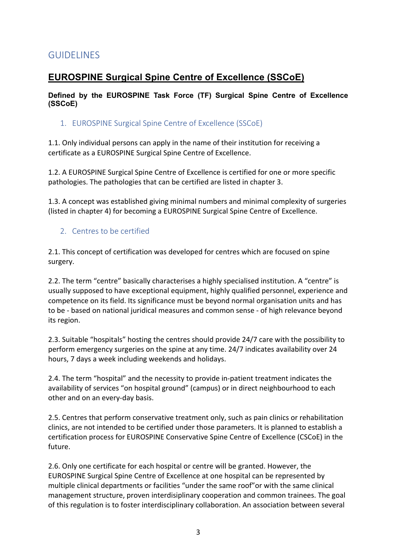# GUIDELINES

# **EUROSPINE Surgical Spine Centre of Excellence (SSCoE)**

**Defined by the EUROSPINE Task Force (TF) Surgical Spine Centre of Excellence (SSCoE)**

1. EUROSPINE Surgical Spine Centre of Excellence (SSCoE)

1.1. Only individual persons can apply in the name of their institution for receiving a certificate as a EUROSPINE Surgical Spine Centre of Excellence.

1.2. A EUROSPINE Surgical Spine Centre of Excellence is certified for one or more specific pathologies. The pathologies that can be certified are listed in chapter 3.

1.3. A concept was established giving minimal numbers and minimal complexity of surgeries (listed in chapter 4) for becoming a EUROSPINE Surgical Spine Centre of Excellence.

## 2. Centres to be certified

2.1. This concept of certification was developed for centres which are focused on spine surgery.

2.2. The term "centre" basically characterises a highly specialised institution. A "centre" is usually supposed to have exceptional equipment, highly qualified personnel, experience and competence on its field. Its significance must be beyond normal organisation units and has to be - based on national juridical measures and common sense - of high relevance beyond its region.

2.3. Suitable "hospitals" hosting the centres should provide 24/7 care with the possibility to perform emergency surgeries on the spine at any time. 24/7 indicates availability over 24 hours, 7 days a week including weekends and holidays.

2.4. The term "hospital" and the necessity to provide in-patient treatment indicates the availability of services "on hospital ground" (campus) or in direct neighbourhood to each other and on an every-day basis.

2.5. Centres that perform conservative treatment only, such as pain clinics or rehabilitation clinics, are not intended to be certified under those parameters. It is planned to establish a certification process for EUROSPINE Conservative Spine Centre of Excellence (CSCoE) in the future.

2.6. Only one certificate for each hospital or centre will be granted. However, the EUROSPINE Surgical Spine Centre of Excellence at one hospital can be represented by multiple clinical departments or facilities "under the same roof"or with the same clinical management structure, proven interdisiplinary cooperation and common trainees. The goal of this regulation is to foster interdisciplinary collaboration. An association between several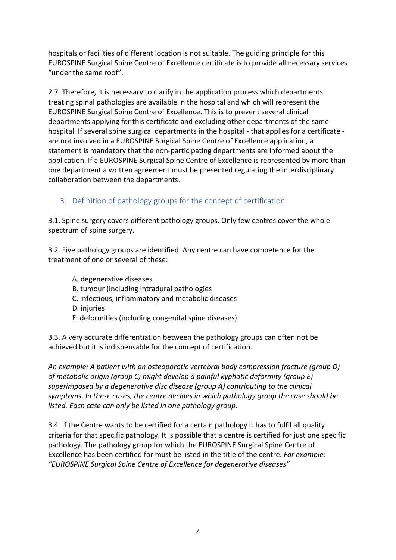hospitals or facilities of different location is not suitable. The guiding principle for this EUROSPINE Surgical Spine Centre of Excellence certificate is to provide all necessary services "under the same roof".

2.7. Therefore, it is necessary to clarify in the application process which departments treating spinal pathologies are available in the hospital and which will represent the EUROSPINE Surgical Spine Centre of Excellence. This is to prevent several clinical departments applying for this certificate and excluding other departments of the same hospital. If several spine surgical departments in the hospital - that applies for a certificate are not involved in a EUROSPINE Surgical Spine Centre of Excellence application, a statement is mandatory that the non-participating departments are informed about the application. If a EUROSPINE Surgical Spine Centre of Excellence is represented by more than one department a written agreement must be presented regulating the interdisciplinary collaboration between the departments.

## 3. Definition of pathology groups for the concept of certification

3.1. Spine surgery covers different pathology groups. Only few centres cover the whole spectrum of spine surgery.

3.2. Five pathology groups are identified. Any centre can have competence for the treatment of one or several of these:

- A. degenerative diseases
- B. tumour (including intradural pathologies
- C. infectious, inflammatory and metabolic diseases
- D. injuries
- E. deformities (including congenital spine diseases)

3.3. A very accurate differentiation between the pathology groups can often not be achieved but it is indispensable for the concept of certification.

*An example: A patient with an osteoporotic vertebral body compression fracture (group D) of metabolic origin (group C) might develop a painful kyphotic deformity (group E) superimposed by a degenerative disc disease (group A) contributing to the clinical symptoms. In these cases, the centre decides in which pathology group the case should be listed. Each case can only be listed in one pathology group.*

3.4. If the Centre wants to be certified for a certain pathology it has to fulfil all quality criteria for that specific pathology. It is possible that a centre is certified for just one specific pathology. The pathology group for which the EUROSPINE Surgical Spine Centre of Excellence has been certified for must be listed in the title of the centre. *For example: "EUROSPINE Surgical Spine Centre of Excellence for degenerative diseases"*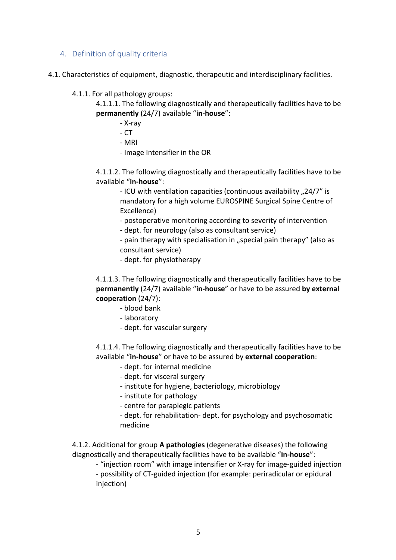#### 4. Definition of quality criteria

4.1. Characteristics of equipment, diagnostic, therapeutic and interdisciplinary facilities.

4.1.1. For all pathology groups:

4.1.1.1. The following diagnostically and therapeutically facilities have to be **permanently** (24/7) available "**in-house**":

- X-ray
- CT
- MRI
- Image Intensifier in the OR

4.1.1.2. The following diagnostically and therapeutically facilities have to be available "**in-house**":

- ICU with ventilation capacities (continuous availability "24/7" is mandatory for a high volume EUROSPINE Surgical Spine Centre of Excellence)

- postoperative monitoring according to severity of intervention

- dept. for neurology (also as consultant service)

- pain therapy with specialisation in "special pain therapy" (also as consultant service)

- dept. for physiotherapy

4.1.1.3. The following diagnostically and therapeutically facilities have to be **permanently** (24/7) available "**in-house**" or have to be assured **by external cooperation** (24/7):

- blood bank
- laboratory
- dept. for vascular surgery

4.1.1.4. The following diagnostically and therapeutically facilities have to be available "**in-house**" or have to be assured by **external cooperation**:

- dept. for internal medicine
- dept. for visceral surgery
- institute for hygiene, bacteriology, microbiology
- institute for pathology
- centre for paraplegic patients
- dept. for rehabilitation- dept. for psychology and psychosomatic medicine

4.1.2. Additional for group **A pathologies** (degenerative diseases) the following diagnostically and therapeutically facilities have to be available "**in-house**":

- "injection room" with image intensifier or X-ray for image-guided injection

- possibility of CT-guided injection (for example: periradicular or epidural injection)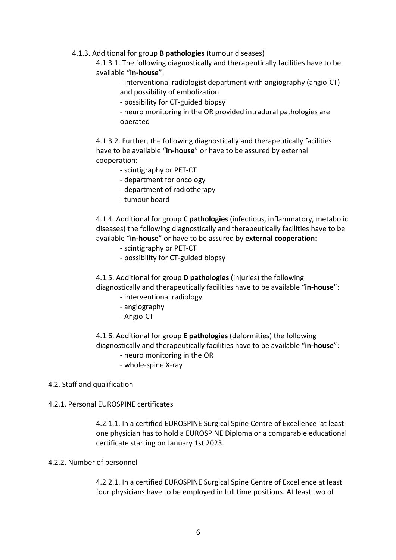#### 4.1.3. Additional for group **B pathologies** (tumour diseases)

4.1.3.1. The following diagnostically and therapeutically facilities have to be available "**in-house**":

- interventional radiologist department with angiography (angio-CT) and possibility of embolization

- possibility for CT-guided biopsy

- neuro monitoring in the OR provided intradural pathologies are operated

4.1.3.2. Further, the following diagnostically and therapeutically facilities have to be available "**in-house**" or have to be assured by external cooperation:

- scintigraphy or PET-CT
- department for oncology
- department of radiotherapy
- tumour board

4.1.4. Additional for group **C pathologies** (infectious, inflammatory, metabolic diseases) the following diagnostically and therapeutically facilities have to be available "**in-house**" or have to be assured by **external cooperation**:

- scintigraphy or PET-CT
- possibility for CT-guided biopsy

4.1.5. Additional for group **D pathologies** (injuries) the following diagnostically and therapeutically facilities have to be available "**in-house**":

- interventional radiology
- angiography
- Angio-CT

4.1.6. Additional for group **E pathologies** (deformities) the following diagnostically and therapeutically facilities have to be available "**in-house**":

- neuro monitoring in the OR
- whole-spine X-ray

#### 4.2. Staff and qualification

#### 4.2.1. Personal EUROSPINE certificates

4.2.1.1. In a certified EUROSPINE Surgical Spine Centre of Excellence at least one physician has to hold a EUROSPINE Diploma or a comparable educational certificate starting on January 1st 2023.

#### 4.2.2. Number of personnel

4.2.2.1. In a certified EUROSPINE Surgical Spine Centre of Excellence at least four physicians have to be employed in full time positions. At least two of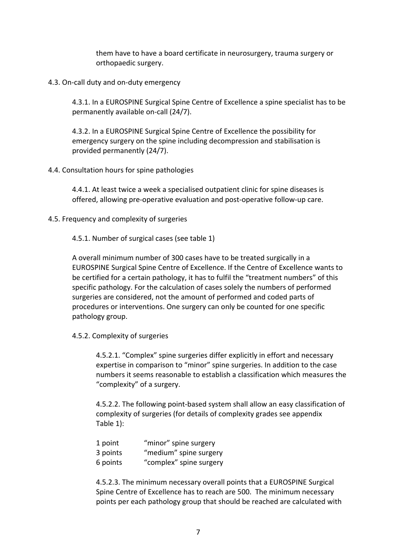them have to have a board certificate in neurosurgery, trauma surgery or orthopaedic surgery.

4.3. On-call duty and on-duty emergency

4.3.1. In a EUROSPINE Surgical Spine Centre of Excellence a spine specialist has to be permanently available on-call (24/7).

4.3.2. In a EUROSPINE Surgical Spine Centre of Excellence the possibility for emergency surgery on the spine including decompression and stabilisation is provided permanently (24/7).

4.4. Consultation hours for spine pathologies

4.4.1. At least twice a week a specialised outpatient clinic for spine diseases is offered, allowing pre-operative evaluation and post-operative follow-up care.

4.5. Frequency and complexity of surgeries

4.5.1. Number of surgical cases (see table 1)

A overall minimum number of 300 cases have to be treated surgically in a EUROSPINE Surgical Spine Centre of Excellence. If the Centre of Excellence wants to be certified for a certain pathology, it has to fulfil the "treatment numbers" of this specific pathology. For the calculation of cases solely the numbers of performed surgeries are considered, not the amount of performed and coded parts of procedures or interventions. One surgery can only be counted for one specific pathology group.

4.5.2. Complexity of surgeries

4.5.2.1. "Complex" spine surgeries differ explicitly in effort and necessary expertise in comparison to "minor" spine surgeries. In addition to the case numbers it seems reasonable to establish a classification which measures the "complexity" of a surgery.

4.5.2.2. The following point-based system shall allow an easy classification of complexity of surgeries (for details of complexity grades see appendix Table 1):

| 1 point  | "minor" spine surgery   |
|----------|-------------------------|
| 3 points | "medium" spine surgery  |
| 6 points | "complex" spine surgery |

4.5.2.3. The minimum necessary overall points that a EUROSPINE Surgical Spine Centre of Excellence has to reach are 500. The minimum necessary points per each pathology group that should be reached are calculated with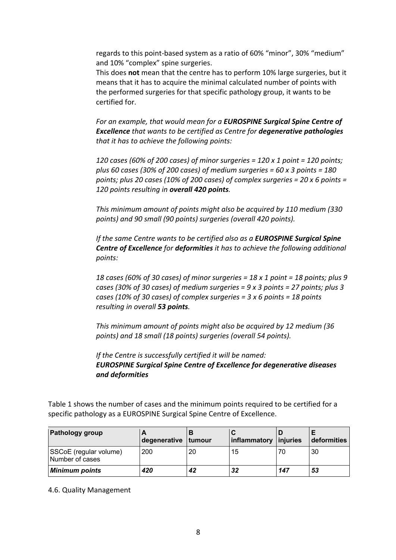regards to this point-based system as a ratio of 60% "minor", 30% "medium" and 10% "complex" spine surgeries.

This does **not** mean that the centre has to perform 10% large surgeries, but it means that it has to acquire the minimal calculated number of points with the performed surgeries for that specific pathology group, it wants to be certified for.

*For an example, that would mean for a EUROSPINE Surgical Spine Centre of Excellence that wants to be certified as Centre for degenerative pathologies that it has to achieve the following points:*

*120 cases (60% of 200 cases) of minor surgeries = 120 x 1 point = 120 points; plus 60 cases (30% of 200 cases) of medium surgeries = 60 x 3 points = 180 points; plus 20 cases (10% of 200 cases) of complex surgeries = 20 x 6 points = 120 points resulting in overall 420 points.*

*This minimum amount of points might also be acquired by 110 medium (330 points) and 90 small (90 points) surgeries (overall 420 points).*

*If the same Centre wants to be certified also as a EUROSPINE Surgical Spine Centre of Excellence for deformities it has to achieve the following additional points:*

*18 cases (60% of 30 cases) of minor surgeries = 18 x 1 point = 18 points; plus 9 cases (30% of 30 cases) of medium surgeries = 9 x 3 points = 27 points; plus 3 cases (10% of 30 cases) of complex surgeries = 3 x 6 points = 18 points resulting in overall 53 points.*

*This minimum amount of points might also be acquired by 12 medium (36 points) and 18 small (18 points) surgeries (overall 54 points).*

*If the Centre is successfully certified it will be named: EUROSPINE Surgical Spine Centre of Excellence for degenerative diseases and deformities* 

Table 1 shows the number of cases and the minimum points required to be certified for a specific pathology as a EUROSPINE Surgical Spine Centre of Excellence.

| <b>Pathology group</b>                    | degenerative | tumour | inflammatory | injuries | deformities |
|-------------------------------------------|--------------|--------|--------------|----------|-------------|
| SSCoE (regular volume)<br>Number of cases | 200          | 20     | 15           | 70       | 30          |
| <b>Minimum points</b>                     | 420          | 42     | 32           | 147      | 53          |

4.6. Quality Management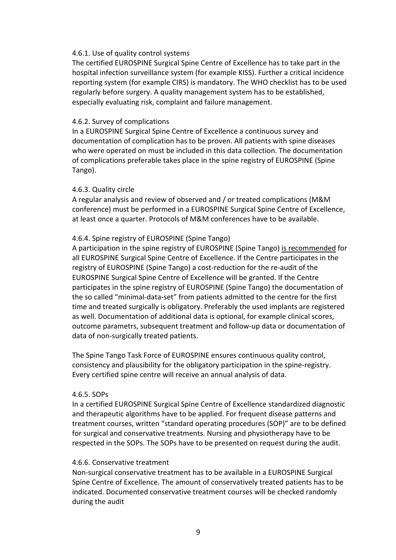#### 4.6.1. Use of quality control systems

The certified EUROSPINE Surgical Spine Centre of Excellence has to take part in the hospital infection surveillance system (for example KISS). Further a critical incidence reporting system (for example CIRS) is mandatory. The WHO checklist has to be used regularly before surgery. A quality management system has to be established, especially evaluating risk, complaint and failure management.

#### 4.6.2. Survey of complications

In a EUROSPINE Surgical Spine Centre of Excellence a continuous survey and documentation of complication has to be proven. All patients with spine diseases who were operated on must be included in this data collection. The documentation of complications preferable takes place in the spine registry of EUROSPINE (Spine Tango).

#### 4.6.3. Quality circle

A regular analysis and review of observed and / or treated complications (M&M conference) must be performed in a EUROSPINE Surgical Spine Centre of Excellence, at least once a quarter. Protocols of M&M conferences have to be available.

#### 4.6.4. Spine registry of EUROSPINE (Spine Tango)

A participation in the spine registry of EUROSPINE (Spine Tango) is recommended for all EUROSPINE Surgical Spine Centre of Excellence. If the Centre participates in the registry of EUROSPINE (Spine Tango) a cost-reduction for the re-audit of the EUROSPINE Surgical Spine Centre of Excellence will be granted. If the Centre participates in the spine registry of EUROSPINE (Spine Tango) the documentation of the so called "minimal-data-set" from patients admitted to the centre for the first time and treated surgically is obligatory. Preferably the used implants are registered as well. Documentation of additional data is optional, for example clinical scores, outcome parametrs, subsequent treatment and follow-up data or documentation of data of non-surgically treated patients.

The Spine Tango Task Force of EUROSPINE ensures continuous quality control, consistency and plausibility for the obligatory participation in the spine-registry. Every certified spine centre will receive an annual analysis of data.

#### 4.6.5. SOPs

In a certified EUROSPINE Surgical Spine Centre of Excellence standardized diagnostic and therapeutic algorithms have to be applied. For frequent disease patterns and treatment courses, written "standard operating procedures (SOP)" are to be defined for surgical and conservative treatments. Nursing and physiotherapy have to be respected in the SOPs. The SOPs have to be presented on request during the audit.

#### 4.6.6. Conservative treatment

Non-surgical conservative treatment has to be available in a EUROSPINE Surgical Spine Centre of Excellence. The amount of conservatively treated patients has to be indicated. Documented conservative treatment courses will be checked randomly during the audit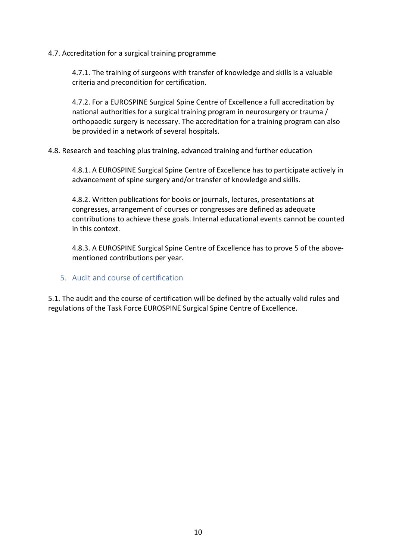4.7. Accreditation for a surgical training programme

4.7.1. The training of surgeons with transfer of knowledge and skills is a valuable criteria and precondition for certification.

4.7.2. For a EUROSPINE Surgical Spine Centre of Excellence a full accreditation by national authorities for a surgical training program in neurosurgery or trauma / orthopaedic surgery is necessary. The accreditation for a training program can also be provided in a network of several hospitals.

4.8. Research and teaching plus training, advanced training and further education

4.8.1. A EUROSPINE Surgical Spine Centre of Excellence has to participate actively in advancement of spine surgery and/or transfer of knowledge and skills.

4.8.2. Written publications for books or journals, lectures, presentations at congresses, arrangement of courses or congresses are defined as adequate contributions to achieve these goals. Internal educational events cannot be counted in this context.

4.8.3. A EUROSPINE Surgical Spine Centre of Excellence has to prove 5 of the abovementioned contributions per year.

5. Audit and course of certification

5.1. The audit and the course of certification will be defined by the actually valid rules and regulations of the Task Force EUROSPINE Surgical Spine Centre of Excellence.